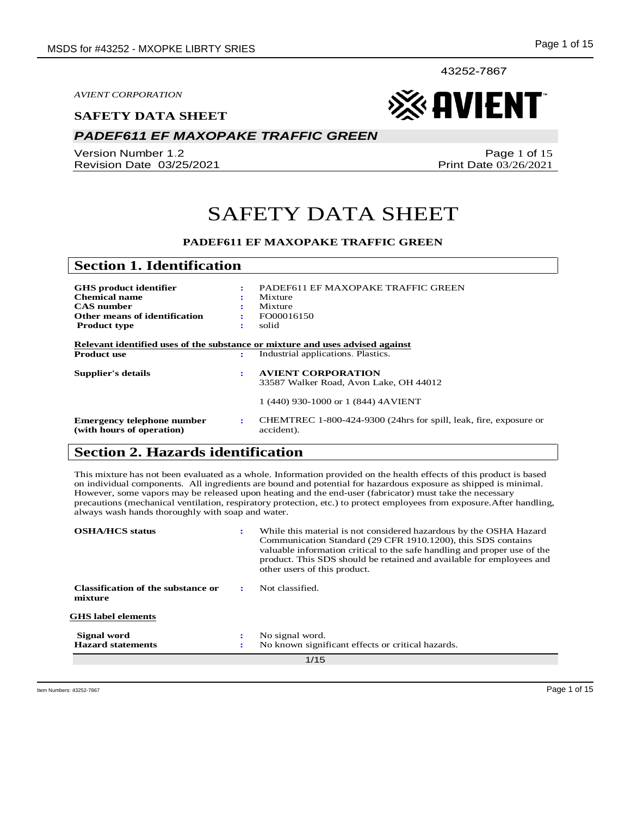43252-7867

*AVIENT CORPORATION*

#### **SAFETY DATA SHEET**

## *PADEF611 EF MAXOPAKE TRAFFIC GREEN*

Version Number 1.2 Revision Date 03/25/2021 ※ AVIENT

Page 1 of 15 Print Date 03/26/2021

## SAFETY DATA SHEET

#### **PADEF611 EF MAXOPAKE TRAFFIC GREEN**

| <b>Section 1. Identification</b>                        |   |                                                                                 |
|---------------------------------------------------------|---|---------------------------------------------------------------------------------|
|                                                         |   |                                                                                 |
| <b>GHS</b> product identifier                           | ÷ | PADEF611 EF MAXOPAKE TRAFFIC GREEN                                              |
| Chemical name                                           |   | Mixture                                                                         |
| <b>CAS</b> number                                       |   | Mixture                                                                         |
| Other means of identification                           |   | FO00016150                                                                      |
| <b>Product type</b>                                     | ٠ | solid                                                                           |
|                                                         |   | Relevant identified uses of the substance or mixture and uses advised against   |
| <b>Product use</b>                                      | ÷ | Industrial applications. Plastics.                                              |
| Supplier's details                                      | ÷ | <b>AVIENT CORPORATION</b>                                                       |
|                                                         |   | 33587 Walker Road, Avon Lake, OH 44012                                          |
|                                                         |   | 1 (440) 930-1000 or 1 (844) 4AVIENT                                             |
| Emergency telephone number<br>(with hours of operation) | ÷ | CHEMTREC 1-800-424-9300 (24hrs for spill, leak, fire, exposure or<br>accident). |

## **Section 2. Hazards identification**

This mixture has not been evaluated as a whole. Information provided on the health effects of this product is based on individual components. All ingredients are bound and potential for hazardous exposure as shipped is minimal. However, some vapors may be released upon heating and the end-user (fabricator) must take the necessary precautions (mechanical ventilation, respiratory protection, etc.) to protect employees from exposure.After handling, always wash hands thoroughly with soap and water.

| <b>OSHA/HCS</b> status                        | ÷ | While this material is not considered hazardous by the OSHA Hazard<br>Communication Standard (29 CFR 1910.1200), this SDS contains<br>valuable information critical to the safe handling and proper use of the<br>product. This SDS should be retained and available for employees and<br>other users of this product. |
|-----------------------------------------------|---|------------------------------------------------------------------------------------------------------------------------------------------------------------------------------------------------------------------------------------------------------------------------------------------------------------------------|
| Classification of the substance or<br>mixture |   | Not classified.                                                                                                                                                                                                                                                                                                        |
| <b>GHS</b> label elements                     |   |                                                                                                                                                                                                                                                                                                                        |
| Signal word                                   |   | No signal word.                                                                                                                                                                                                                                                                                                        |
| <b>Hazard statements</b>                      |   | No known significant effects or critical hazards.                                                                                                                                                                                                                                                                      |
| 1/15                                          |   |                                                                                                                                                                                                                                                                                                                        |

Item Numbers: 43252-7867 Page 1 of 15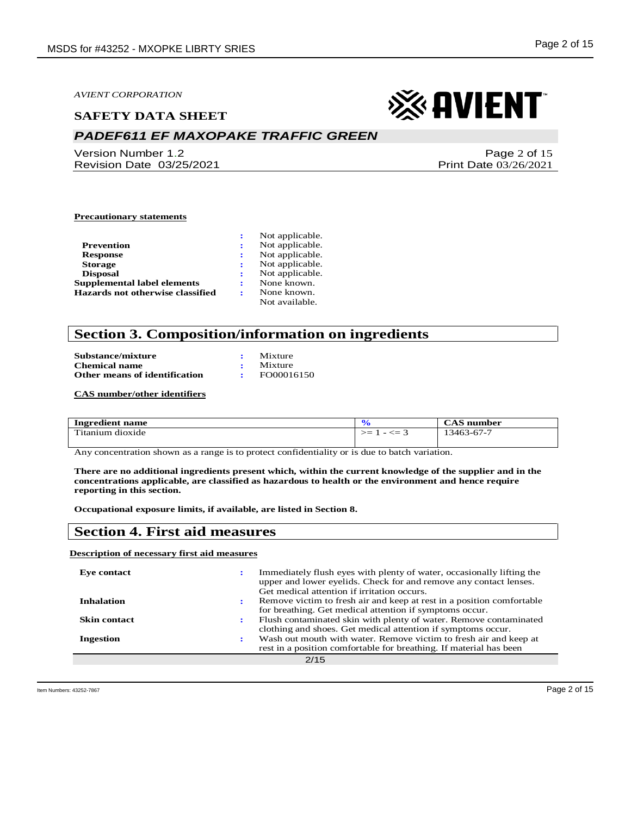#### **SAFETY DATA SHEET**

## *PADEF611 EF MAXOPAKE TRAFFIC GREEN*

Version Number 1.2 Revision Date 03/25/2021

# ※ AVIENT

Page 2 of 15 Print Date 03/26/2021

#### **Precautionary statements**

|                                  | Not applicable. |
|----------------------------------|-----------------|
| Prevention                       | Not applicable. |
| <b>Response</b>                  | Not applicable. |
| <b>Storage</b>                   | Not applicable. |
| <b>Disposal</b>                  | Not applicable. |
| Supplemental label elements      | None known.     |
| Hazards not otherwise classified | None known.     |
|                                  | Not available.  |

## **Section 3. Composition/information on ingredients**

| Substance/mixture             | Mixture    |
|-------------------------------|------------|
| <b>Chemical name</b>          | Mixture    |
| Other means of identification | FO00016150 |

**CAS number/other identifiers**

| Ingredient name      | $\mathbf o$ | number<br>UA S |
|----------------------|-------------|----------------|
| m.<br>tanium dioxide | — <≕<br>>≕  | 13463-67-7     |

Any concentration shown as a range is to protect confidentiality or is due to batch variation.

**There are no additional ingredients present which, within the current knowledge of the supplier and in the concentrations applicable, are classified as hazardous to health or the environment and hence require reporting in this section.**

**Occupational exposure limits, if available, are listed in Section 8.**

### **Section 4. First aid measures**

#### **Description of necessary first aid measures**

| Eve contact         | Immediately flush eyes with plenty of water, occasionally lifting the<br>upper and lower eyelids. Check for and remove any contact lenses.<br>Get medical attention if irritation occurs. |
|---------------------|-------------------------------------------------------------------------------------------------------------------------------------------------------------------------------------------|
| <b>Inhalation</b>   | Remove victim to fresh air and keep at rest in a position comfortable<br>for breathing. Get medical attention if symptoms occur.                                                          |
| <b>Skin contact</b> | Flush contaminated skin with plenty of water. Remove contaminated<br>clothing and shoes. Get medical attention if symptoms occur.                                                         |
| <b>Ingestion</b>    | Wash out mouth with water. Remove victim to fresh air and keep at<br>rest in a position comfortable for breathing. If material has been                                                   |
|                     | 2/15                                                                                                                                                                                      |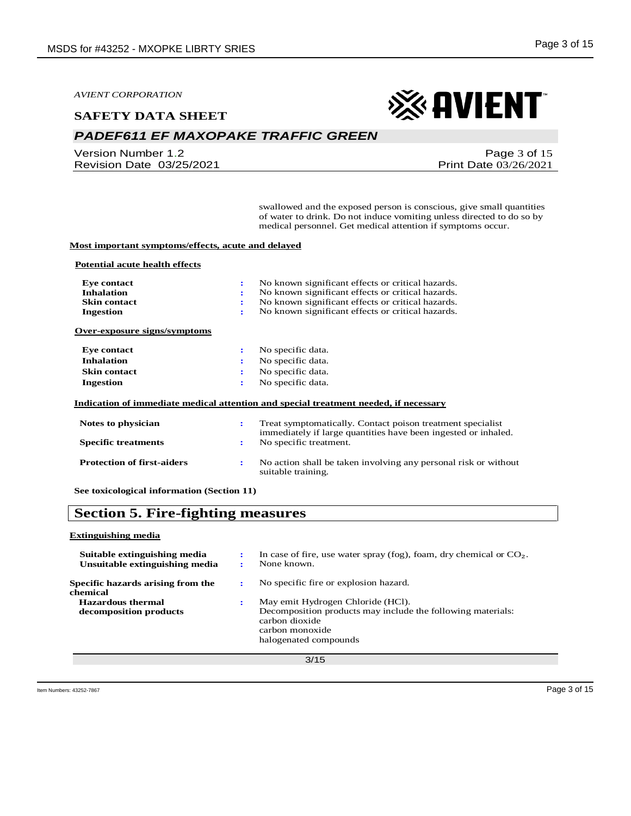#### **SAFETY DATA SHEET**

## *PADEF611 EF MAXOPAKE TRAFFIC GREEN*

Version Number 1.2 Revision Date 03/25/2021

## ※AVIENT

Page 3 of 15 Print Date 03/26/2021

swallowed and the exposed person is conscious, give small quantities of water to drink. Do not induce vomiting unless directed to do so by medical personnel. Get medical attention if symptoms occur.

#### **Most important symptoms/effects, acute and delayed**

#### **Potential acute health effects**

| Eye contact<br><b>Inhalation</b><br><b>Skin contact</b><br><b>Ingestion</b> | No known significant effects or critical hazards.<br>÷<br>No known significant effects or critical hazards.<br>÷<br>No known significant effects or critical hazards.<br>÷<br>No known significant effects or critical hazards.<br>÷ |
|-----------------------------------------------------------------------------|--------------------------------------------------------------------------------------------------------------------------------------------------------------------------------------------------------------------------------------|
| Over-exposure signs/symptoms                                                |                                                                                                                                                                                                                                      |
| Eye contact                                                                 | No specific data.<br>÷                                                                                                                                                                                                               |
| <b>Inhalation</b>                                                           | No specific data.<br>÷                                                                                                                                                                                                               |
| <b>Skin contact</b>                                                         | No specific data.<br>÷                                                                                                                                                                                                               |
| Ingestion                                                                   | No specific data.<br>÷                                                                                                                                                                                                               |
|                                                                             | Indication of immediate medical attention and special treatment needed, if necessary                                                                                                                                                 |
| Notes to physician                                                          | Treat symptomatically. Contact poison treatment specialist<br>÷<br>immediately if large quantities have been ingested or inhaled.                                                                                                    |
| <b>Specific treatments</b>                                                  | No specific treatment.<br>÷                                                                                                                                                                                                          |
| <b>Protection of first-aiders</b>                                           | No action shall be taken involving any personal risk or without<br>÷<br>suitable training.                                                                                                                                           |

**See toxicological information (Section 11)**

## **Section 5. Fire-fighting measures**

#### **Extinguishing media**

| Suitable extinguishing media<br>Unsuitable extinguishing media | ÷<br>÷ | In case of fire, use water spray (fog), foam, dry chemical or $CO2$ .<br>None known.                                                                           |
|----------------------------------------------------------------|--------|----------------------------------------------------------------------------------------------------------------------------------------------------------------|
| Specific hazards arising from the<br>chemical                  |        | No specific fire or explosion hazard.                                                                                                                          |
| <b>Hazardous thermal</b><br>decomposition products             | ÷      | May emit Hydrogen Chloride (HCl).<br>Decomposition products may include the following materials:<br>carbon dioxide<br>carbon monoxide<br>halogenated compounds |
|                                                                |        | 3/15                                                                                                                                                           |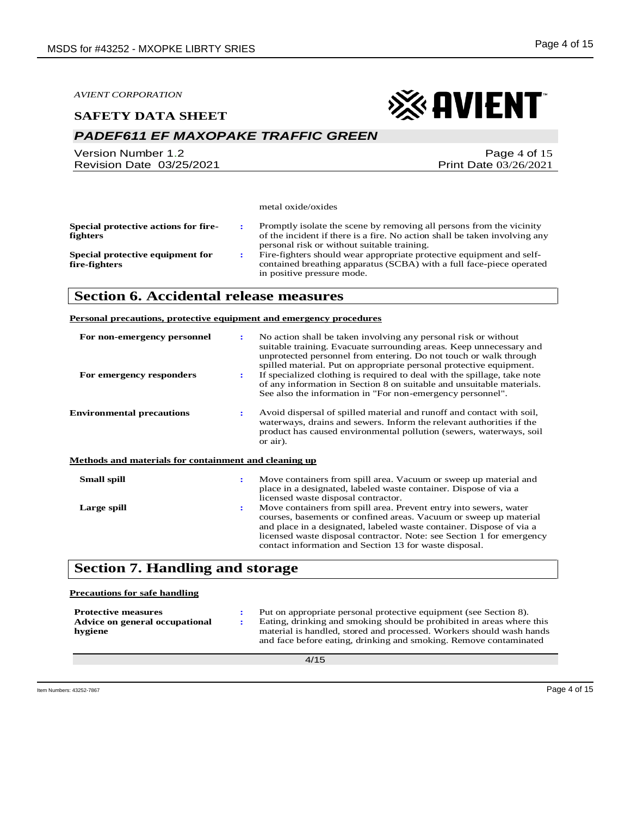#### **SAFETY DATA SHEET**

## *PADEF611 EF MAXOPAKE TRAFFIC GREEN*

Version Number 1.2 Revision Date 03/25/2021 ※ AVIENT

Page 4 of 15 Print Date 03/26/2021

metal oxide/oxides

| Special protective actions for fire-<br><b>fighters</b> | Promptly isolate the scene by removing all persons from the vicinity<br>of the incident if there is a fire. No action shall be taken involving any                                                                        |
|---------------------------------------------------------|---------------------------------------------------------------------------------------------------------------------------------------------------------------------------------------------------------------------------|
| Special protective equipment for<br>fire-fighters       | personal risk or without suitable training.<br>Fire-fighters should wear appropriate protective equipment and self-<br>contained breathing apparatus (SCBA) with a full face-piece operated<br>in positive pressure mode. |

## **Section 6. Accidental release measures**

#### **Personal precautions, protective equipment and emergency procedures**

| For non-emergency personnel<br>For emergency responders | $\ddot{\phantom{a}}$<br>÷ | No action shall be taken involving any personal risk or without<br>suitable training. Evacuate surrounding areas. Keep unnecessary and<br>unprotected personnel from entering. Do not touch or walk through<br>spilled material. Put on appropriate personal protective equipment.<br>If specialized clothing is required to deal with the spillage, take note<br>of any information in Section 8 on suitable and unsuitable materials.<br>See also the information in "For non-emergency personnel". |
|---------------------------------------------------------|---------------------------|-------------------------------------------------------------------------------------------------------------------------------------------------------------------------------------------------------------------------------------------------------------------------------------------------------------------------------------------------------------------------------------------------------------------------------------------------------------------------------------------------------|
| <b>Environmental precautions</b>                        | ÷                         | Avoid dispersal of spilled material and runoff and contact with soil,<br>waterways, drains and sewers. Inform the relevant authorities if the<br>product has caused environmental pollution (sewers, waterways, soil<br>or air).                                                                                                                                                                                                                                                                      |
| Methods and materials for containment and cleaning up   |                           |                                                                                                                                                                                                                                                                                                                                                                                                                                                                                                       |
| <b>Small spill</b>                                      | ÷                         | Move containers from spill area. Vacuum or sweep up material and<br>place in a designated, labeled waste container. Dispose of via a<br>licensed waste disposal contractor.                                                                                                                                                                                                                                                                                                                           |
| Large spill                                             | $\ddot{\phantom{a}}$      | Move containers from spill area. Prevent entry into sewers, water<br>courses, basements or confined areas. Vacuum or sweep up material<br>and place in a designated, labeled waste container. Dispose of via a<br>licensed waste disposal contractor. Note: see Section 1 for emergency<br>contact information and Section 13 for waste disposal.                                                                                                                                                     |

## **Section 7. Handling and storage**

| <b>Precautions for safe handling</b>                                    |                                                                                                                                                                                                                                                                                         |
|-------------------------------------------------------------------------|-----------------------------------------------------------------------------------------------------------------------------------------------------------------------------------------------------------------------------------------------------------------------------------------|
| <b>Protective measures</b><br>Advice on general occupational<br>hygiene | Put on appropriate personal protective equipment (see Section 8).<br>Eating, drinking and smoking should be prohibited in areas where this<br>material is handled, stored and processed. Workers should wash hands<br>and face before eating, drinking and smoking. Remove contaminated |
|                                                                         |                                                                                                                                                                                                                                                                                         |

Item Numbers: 43252-7867 Page 4 of 15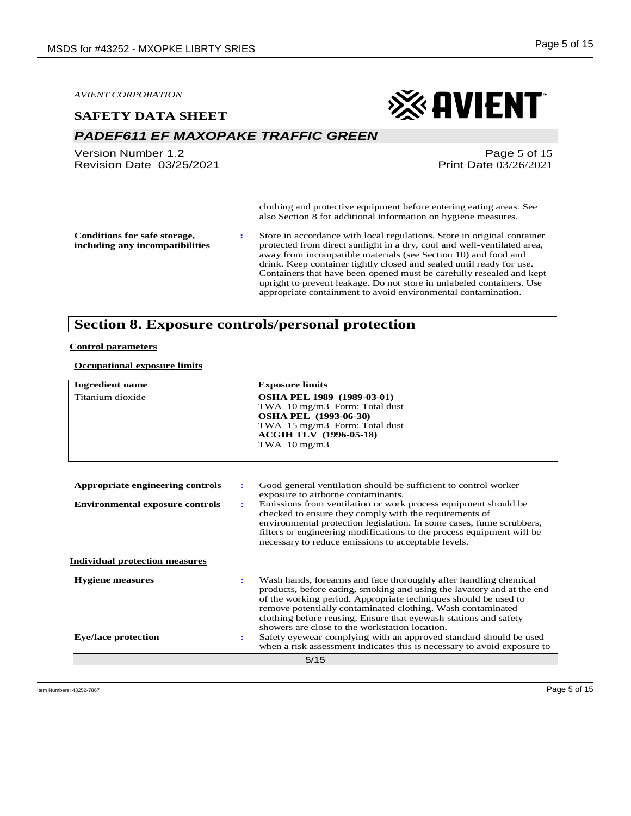#### **SAFETY DATA SHEET**

## *PADEF611 EF MAXOPAKE TRAFFIC GREEN*

Version Number 1.2 Revision Date 03/25/2021

## ※ AVIENT

Page 5 of 15 Print Date 03/26/2021

clothing and protective equipment before entering eating areas. See also Section 8 for additional information on hygiene measures.

**Conditions for safe storage, including any incompatibilities** **:** Store in accordance with local regulations. Store in original container protected from direct sunlight in a dry, cool and well-ventilated area, away from incompatible materials (see Section 10) and food and drink. Keep container tightly closed and sealed until ready for use. Containers that have been opened must be carefully resealed and kept upright to prevent leakage. Do not store in unlabeled containers. Use appropriate containment to avoid environmental contamination.

## **Section 8. Exposure controls/personal protection**

#### **Control parameters**

#### **Occupational exposure limits**

| <b>Ingredient name</b>                                   | <b>Exposure limits</b>                                                                                                                                                                                                                                                                                                                                                                             |
|----------------------------------------------------------|----------------------------------------------------------------------------------------------------------------------------------------------------------------------------------------------------------------------------------------------------------------------------------------------------------------------------------------------------------------------------------------------------|
| Titanium dioxide                                         | OSHA PEL 1989 (1989-03-01)<br>TWA 10 mg/m3 Form: Total dust<br><b>OSHA PEL (1993-06-30)</b><br>TWA 15 mg/m3 Form: Total dust<br><b>ACGIH TLV (1996-05-18)</b><br>TWA $10 \text{ mg/m}$ 3                                                                                                                                                                                                           |
|                                                          |                                                                                                                                                                                                                                                                                                                                                                                                    |
| Appropriate engineering controls<br>÷                    | Good general ventilation should be sufficient to control worker                                                                                                                                                                                                                                                                                                                                    |
| <b>Environmental exposure controls</b><br>$\ddot{\cdot}$ | exposure to airborne contaminants.<br>Emissions from ventilation or work process equipment should be                                                                                                                                                                                                                                                                                               |
|                                                          | checked to ensure they comply with the requirements of<br>environmental protection legislation. In some cases, fume scrubbers,<br>filters or engineering modifications to the process equipment will be<br>necessary to reduce emissions to acceptable levels.                                                                                                                                     |
| <b>Individual protection measures</b>                    |                                                                                                                                                                                                                                                                                                                                                                                                    |
| <b>Hygiene</b> measures<br>$\ddot{\phantom{a}}$          | Wash hands, forearms and face thoroughly after handling chemical<br>products, before eating, smoking and using the lavatory and at the end<br>of the working period. Appropriate techniques should be used to<br>remove potentially contaminated clothing. Wash contaminated<br>clothing before reusing. Ensure that eyewash stations and safety<br>showers are close to the workstation location. |
| <b>Eye/face protection</b><br>$\ddot{\phantom{a}}$       | Safety eyewear complying with an approved standard should be used<br>when a risk assessment indicates this is necessary to avoid exposure to                                                                                                                                                                                                                                                       |
|                                                          | 5/15                                                                                                                                                                                                                                                                                                                                                                                               |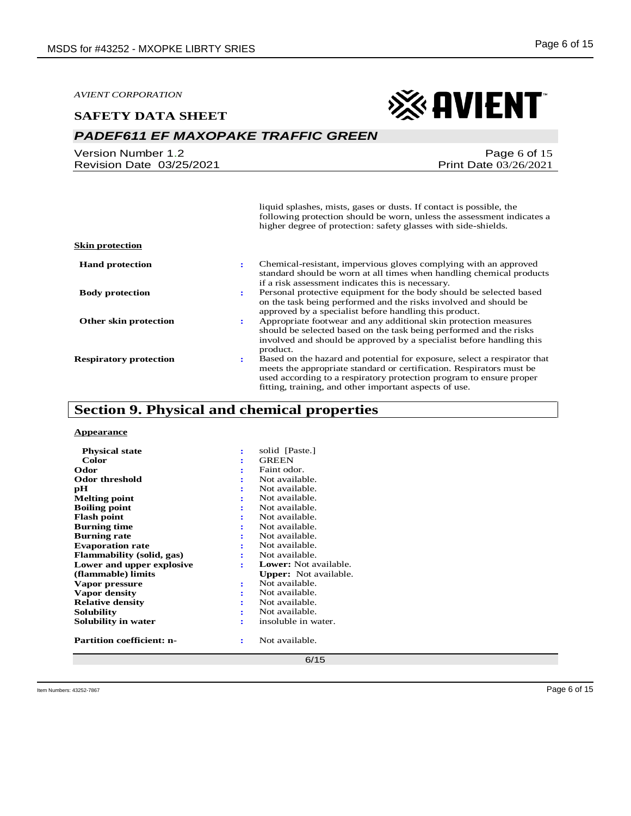#### **SAFETY DATA SHEET**



## *PADEF611 EF MAXOPAKE TRAFFIC GREEN*

| Version Number 1.2       |  |
|--------------------------|--|
| Revision Date 03/25/2021 |  |

#### Page 6 of 15 Print Date 03/26/2021

liquid splashes, mists, gases or dusts. If contact is possible, the following protection should be worn, unless the assessment indicates a higher degree of protection: safety glasses with side-shields.

| <b>Hand protection</b>        | Chemical-resistant, impervious gloves complying with an approved<br>٠.<br>standard should be worn at all times when handling chemical products<br>if a risk assessment indicates this is necessary.                                                                                     |
|-------------------------------|-----------------------------------------------------------------------------------------------------------------------------------------------------------------------------------------------------------------------------------------------------------------------------------------|
| <b>Body protection</b>        | Personal protective equipment for the body should be selected based<br>٠.<br>on the task being performed and the risks involved and should be<br>approved by a specialist before handling this product.                                                                                 |
| Other skin protection         | Appropriate footwear and any additional skin protection measures<br>٠.<br>should be selected based on the task being performed and the risks<br>involved and should be approved by a specialist before handling this<br>product.                                                        |
| <b>Respiratory protection</b> | Based on the hazard and potential for exposure, select a respirator that<br>٠.<br>meets the appropriate standard or certification. Respirators must be<br>used according to a respiratory protection program to ensure proper<br>fitting, training, and other important aspects of use. |

## **Section 9. Physical and chemical properties**

#### **Appearance**

**Skin protection**

| <b>Physical state</b>            | ፡ | solid [Paste.]               |
|----------------------------------|---|------------------------------|
| Color                            |   | <b>GREEN</b>                 |
| Odor                             |   | Faint odor.                  |
| Odor threshold                   |   | Not available.               |
| рH                               |   | Not available.               |
| <b>Melting point</b>             |   | Not available.               |
| <b>Boiling point</b>             |   | Not available.               |
| <b>Flash point</b>               | ÷ | Not available.               |
| <b>Burning time</b>              |   | Not available.               |
| <b>Burning rate</b>              |   | Not available.               |
| <b>Evaporation rate</b>          |   | Not available.               |
| <b>Flammability (solid, gas)</b> |   | Not available.               |
| Lower and upper explosive        |   | <b>Lower:</b> Not available. |
| (flammable) limits               |   | <b>Upper:</b> Not available. |
| Vapor pressure                   | ÷ | Not available.               |
| Vapor density                    |   | Not available.               |
| <b>Relative density</b>          |   | Not available.               |
| Solubility                       |   | Not available.               |
| Solubility in water              | ÷ | insoluble in water.          |
| <b>Partition coefficient: n-</b> | ÷ | Not available.               |
|                                  |   |                              |

6/15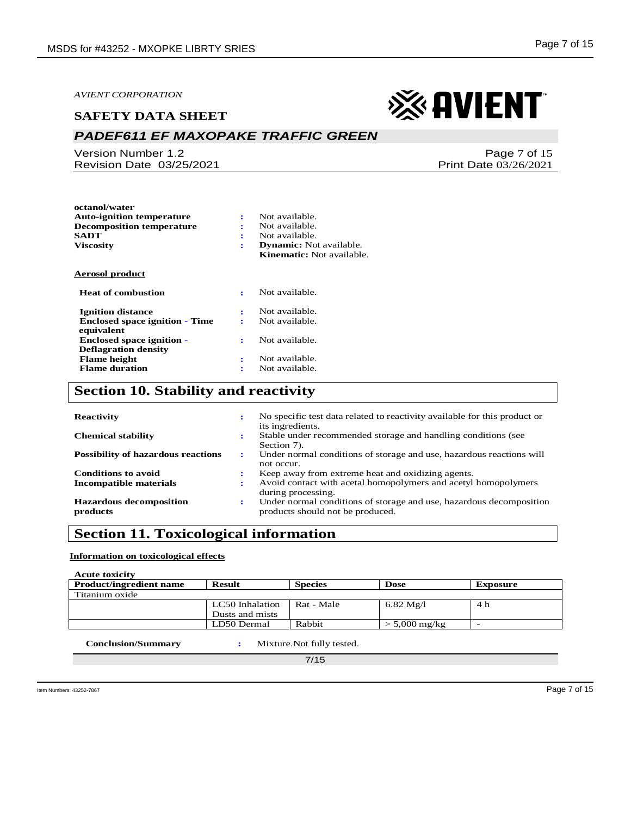**octanol/water**

#### **SAFETY DATA SHEET**

## *PADEF611 EF MAXOPAKE TRAFFIC GREEN*

Version Number 1.2 Revision Date 03/25/2021

Print Date 03/26/2021

※ AVIENT

| <b>Auto-ignition temperature</b>      | ÷              | Not available.                 |
|---------------------------------------|----------------|--------------------------------|
| <b>Decomposition temperature</b>      | ÷              | Not available.                 |
| <b>SADT</b>                           | ÷              | Not available.                 |
| <b>Viscosity</b>                      | ÷              | <b>Dynamic:</b> Not available. |
|                                       |                | Kinematic: Not available.      |
| <b>Aerosol product</b>                |                |                                |
| <b>Heat of combustion</b>             | $\ddot{\cdot}$ | Not available.                 |
| <b>Ignition distance</b>              | ÷              | Not available.                 |
| <b>Enclosed space ignition - Time</b> | ÷              | Not available.                 |
| equivalent                            |                |                                |
| <b>Enclosed space ignition -</b>      | ÷              | Not available.                 |
| <b>Deflagration density</b>           |                |                                |
| <b>Flame</b> height                   | ÷              | Not available.                 |
| <b>Flame duration</b>                 | ż              | Not available.                 |
|                                       |                |                                |

## **Section 10. Stability and reactivity**

| <b>Reactivity</b>                          | ٠         | No specific test data related to reactivity available for this product or<br>its ingredients.           |
|--------------------------------------------|-----------|---------------------------------------------------------------------------------------------------------|
| <b>Chemical stability</b>                  | ٠         | Stable under recommended storage and handling conditions (see<br>Section 7).                            |
| <b>Possibility of hazardous reactions</b>  | ÷         | Under normal conditions of storage and use, hazardous reactions will<br>not occur.                      |
| <b>Conditions to avoid</b>                 | $\bullet$ | Keep away from extreme heat and oxidizing agents.                                                       |
| <b>Incompatible materials</b>              | ÷         | Avoid contact with acetal homopolymers and acetyl homopolymers<br>during processing.                    |
| <b>Hazardous decomposition</b><br>products | ÷         | Under normal conditions of storage and use, hazardous decomposition<br>products should not be produced. |

## **Section 11. Toxicological information**

#### **Information on toxicological effects**

**Acute toxicity**

| <b>Product/ingredient name</b> | <b>Result</b>   | <b>Species</b> | <b>Dose</b>                | Exposure |
|--------------------------------|-----------------|----------------|----------------------------|----------|
| Titanium oxide                 |                 |                |                            |          |
|                                | LC50 Inhalation | Rat - Male     | $6.82 \text{ Mg}/l$        | 4 h      |
|                                | Dusts and mists |                |                            |          |
|                                | LD50 Dermal     | Rabbit         | $> 5,000 \,\mathrm{mg/kg}$ |          |
|                                |                 |                |                            |          |

 **Conclusion/Summary :** Mixture.Not fully tested.

7/15

Page 7 of 15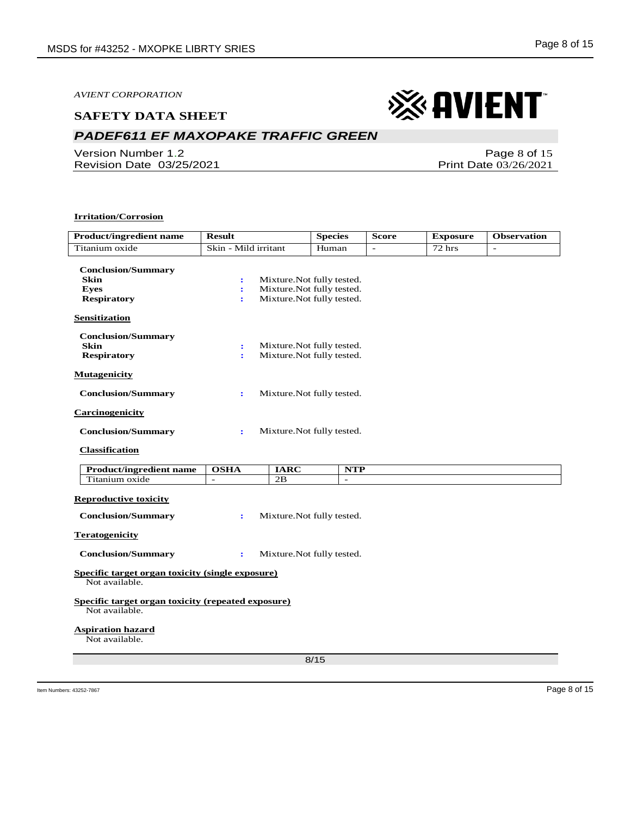#### **SAFETY DATA SHEET**

## *PADEF611 EF MAXOPAKE TRAFFIC GREEN*

Version Number 1.2 Revision Date 03/25/2021

#### **Irritation/Corrosion**

| <b>Product/ingredient name</b>                                                | <b>Result</b>                     | <b>Species</b>                                                                       | <b>Score</b> | <b>Exposure</b> | <b>Observation</b>       |
|-------------------------------------------------------------------------------|-----------------------------------|--------------------------------------------------------------------------------------|--------------|-----------------|--------------------------|
| Titanium oxide                                                                | Skin - Mild irritant              | Human                                                                                |              | 72 hrs          | $\overline{\phantom{a}}$ |
| <b>Conclusion/Summary</b><br><b>Skin</b><br><b>Eyes</b><br><b>Respiratory</b> | $\ddot{\phantom{a}}$<br>÷<br>÷    | Mixture. Not fully tested.<br>Mixture.Not fully tested.<br>Mixture.Not fully tested. |              |                 |                          |
| <b>Sensitization</b>                                                          |                                   |                                                                                      |              |                 |                          |
| <b>Conclusion/Summary</b><br><b>Skin</b><br><b>Respiratory</b>                | $\ddot{\phantom{a}}$<br>÷         | Mixture. Not fully tested.<br>Mixture. Not fully tested.                             |              |                 |                          |
| <b>Mutagenicity</b>                                                           |                                   |                                                                                      |              |                 |                          |
| <b>Conclusion/Summary</b>                                                     | ÷                                 | Mixture. Not fully tested.                                                           |              |                 |                          |
| <b>Carcinogenicity</b>                                                        |                                   |                                                                                      |              |                 |                          |
| <b>Conclusion/Summary</b>                                                     | ÷                                 | Mixture. Not fully tested.                                                           |              |                 |                          |
| <b>Classification</b>                                                         |                                   |                                                                                      |              |                 |                          |
| <b>Product/ingredient name</b>                                                | <b>OSHA</b><br><b>IARC</b>        | NTP                                                                                  |              |                 |                          |
| Titanium oxide                                                                | 2B<br>$\mathcal{L}^{\mathcal{A}}$ | $\omega$                                                                             |              |                 |                          |
| <b>Reproductive toxicity</b>                                                  |                                   |                                                                                      |              |                 |                          |
| <b>Conclusion/Summary</b>                                                     | ÷                                 | Mixture. Not fully tested.                                                           |              |                 |                          |
| <b>Teratogenicity</b>                                                         |                                   |                                                                                      |              |                 |                          |
| <b>Conclusion/Summary</b>                                                     | $\ddot{\phantom{a}}$              | Mixture. Not fully tested.                                                           |              |                 |                          |
| Specific target organ toxicity (single exposure)<br>Not available.            |                                   |                                                                                      |              |                 |                          |
| Specific target organ toxicity (repeated exposure)<br>Not available.          |                                   |                                                                                      |              |                 |                          |
| <b>Aspiration hazard</b><br>Not available.                                    |                                   |                                                                                      |              |                 |                          |
|                                                                               |                                   | 8/15                                                                                 |              |                 |                          |
|                                                                               |                                   |                                                                                      |              |                 |                          |

Page 8 of 15 Print Date 03/26/2021

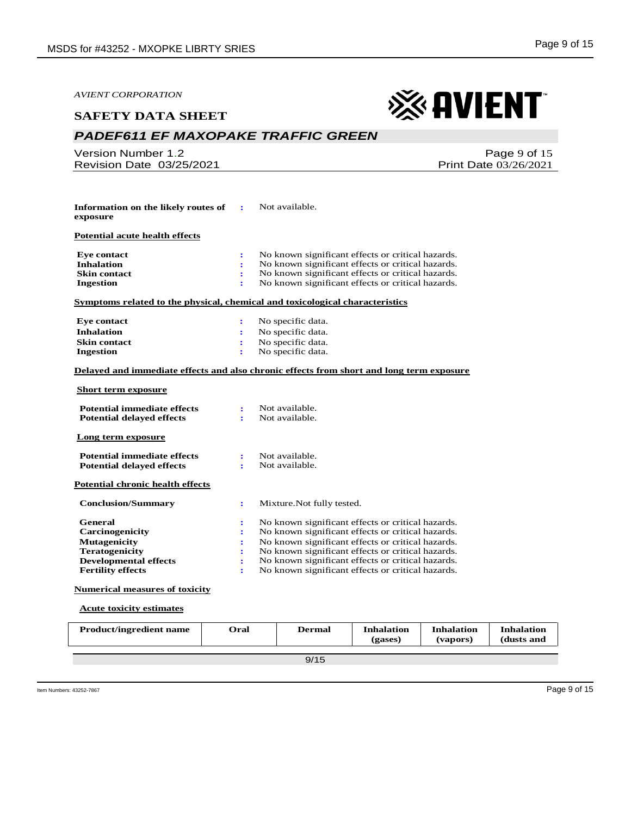| <i><b>AVIENT CORPORATION</b></i>                                                                                                                     |                                                                         |                                                                                                                                                                                                                                                                                                                            |
|------------------------------------------------------------------------------------------------------------------------------------------------------|-------------------------------------------------------------------------|----------------------------------------------------------------------------------------------------------------------------------------------------------------------------------------------------------------------------------------------------------------------------------------------------------------------------|
| <b>SAFETY DATA SHEET</b>                                                                                                                             |                                                                         | <b>&amp; AVIENT</b>                                                                                                                                                                                                                                                                                                        |
| <b>PADEF611 EF MAXOPAKE TRAFFIC GREEN</b>                                                                                                            |                                                                         |                                                                                                                                                                                                                                                                                                                            |
| <b>Version Number 1.2</b><br>Revision Date 03/25/2021                                                                                                |                                                                         | Page 9 of 15<br><b>Print Date 03/26/2021</b>                                                                                                                                                                                                                                                                               |
|                                                                                                                                                      |                                                                         |                                                                                                                                                                                                                                                                                                                            |
| Information on the likely routes of<br>exposure                                                                                                      | ÷                                                                       | Not available.                                                                                                                                                                                                                                                                                                             |
| Potential acute health effects                                                                                                                       |                                                                         |                                                                                                                                                                                                                                                                                                                            |
| <b>Eye contact</b><br><b>Inhalation</b><br><b>Skin contact</b><br><b>Ingestion</b>                                                                   | $\ddot{\phantom{a}}$<br>÷<br>÷<br>÷                                     | No known significant effects or critical hazards.<br>No known significant effects or critical hazards.<br>No known significant effects or critical hazards.<br>No known significant effects or critical hazards.                                                                                                           |
| <u>Symptoms related to the physical, chemical and toxicological characteristics</u>                                                                  |                                                                         |                                                                                                                                                                                                                                                                                                                            |
| <b>Eye contact</b><br><b>Inhalation</b><br><b>Skin contact</b><br><b>Ingestion</b>                                                                   | ÷<br>÷<br>$\bullet$                                                     | No specific data.<br>No specific data.<br>No specific data.<br>No specific data.                                                                                                                                                                                                                                           |
|                                                                                                                                                      |                                                                         | Delayed and immediate effects and also chronic effects from short and long term exposure                                                                                                                                                                                                                                   |
| <u>Short term exposure</u>                                                                                                                           |                                                                         |                                                                                                                                                                                                                                                                                                                            |
| <b>Potential immediate effects</b><br><b>Potential delayed effects</b>                                                                               | ÷<br>٠                                                                  | Not available.<br>Not available.                                                                                                                                                                                                                                                                                           |
| Long term exposure                                                                                                                                   |                                                                         |                                                                                                                                                                                                                                                                                                                            |
| <b>Potential immediate effects</b><br><b>Potential delayed effects</b>                                                                               | $\ddot{\cdot}$<br>$\mathbf{r}$                                          | Not available.<br>Not available.                                                                                                                                                                                                                                                                                           |
| <b>Potential chronic health effects</b>                                                                                                              |                                                                         |                                                                                                                                                                                                                                                                                                                            |
| <b>Conclusion/Summary</b>                                                                                                                            | $\ddot{\cdot}$                                                          | Mixture. Not fully tested.                                                                                                                                                                                                                                                                                                 |
| <b>General</b><br><b>Carcinogenicity</b><br><b>Mutagenicity</b><br><b>Teratogenicity</b><br><b>Developmental effects</b><br><b>Fertility effects</b> | $\ddot{\phantom{a}}$<br>÷<br>$\ddot{\cdot}$<br>÷<br>$\ddot{\cdot}$<br>÷ | No known significant effects or critical hazards.<br>No known significant effects or critical hazards.<br>No known significant effects or critical hazards.<br>No known significant effects or critical hazards.<br>No known significant effects or critical hazards.<br>No known significant effects or critical hazards. |
| <b>Numerical measures of toxicity</b>                                                                                                                |                                                                         |                                                                                                                                                                                                                                                                                                                            |
| <b>Acute toxicity estimates</b>                                                                                                                      |                                                                         |                                                                                                                                                                                                                                                                                                                            |

| <b>Product/ingredient name</b> | Oral | Dermal | <b>Inhalation</b><br>(gases) | <b>Inhalation</b><br>(vapors) | <b>Inhalation</b><br>(dusts and |
|--------------------------------|------|--------|------------------------------|-------------------------------|---------------------------------|
|                                |      |        |                              |                               |                                 |
|                                |      | 9/15   |                              |                               |                                 |
|                                |      |        |                              |                               |                                 |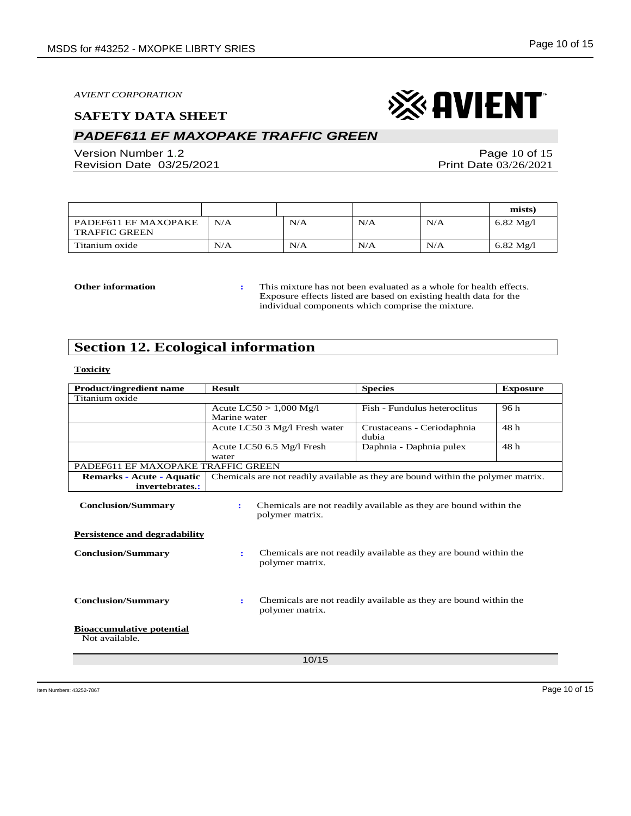#### **SAFETY DATA SHEET**

## *PADEF611 EF MAXOPAKE TRAFFIC GREEN*

Version Number 1.2 Revision Date 03/25/2021

Page 10 of 15 Print Date 03/26/2021

|                                              |     |     |     |     | mists)              |
|----------------------------------------------|-----|-----|-----|-----|---------------------|
| PADEF611 EF MAXOPAKE<br><b>TRAFFIC GREEN</b> | N/A | N/A | N/A | N/A | $6.82 \text{ Mg}/l$ |
| Titanium oxide                               | N/A | N/A | N/A | N/A | 6.82 Mg/l           |

**Other information :** This mixture has not been evaluated as a whole for health effects. Exposure effects listed are based on existing health data for the individual components which comprise the mixture.

## **Section 12. Ecological information**

#### **Toxicity**

| <b>Product/ingredient name</b>                                    | <b>Result</b>                                                                    | <b>Species</b>                                                   | <b>Exposure</b> |
|-------------------------------------------------------------------|----------------------------------------------------------------------------------|------------------------------------------------------------------|-----------------|
| Titanium oxide                                                    |                                                                                  |                                                                  |                 |
|                                                                   | Acute $LC50 > 1,000$ Mg/l                                                        | Fish - Fundulus heteroclitus                                     | 96 h            |
|                                                                   | Marine water                                                                     |                                                                  |                 |
|                                                                   | Acute LC50 3 Mg/l Fresh water                                                    | Crustaceans - Ceriodaphnia                                       | 48 h            |
|                                                                   |                                                                                  | dubia                                                            |                 |
|                                                                   | Acute LC50 6.5 Mg/l Fresh                                                        | Daphnia - Daphnia pulex                                          | 48 h            |
|                                                                   | water                                                                            |                                                                  |                 |
| PADEF611 EF MAXOPAKE TRAFFIC GREEN                                |                                                                                  |                                                                  |                 |
| Remarks - Acute - Aquatic                                         | Chemicals are not readily available as they are bound within the polymer matrix. |                                                                  |                 |
| invertebrates.:                                                   |                                                                                  |                                                                  |                 |
| <b>Conclusion/Summary</b><br><b>Persistence and degradability</b> | polymer matrix.                                                                  | Chemicals are not readily available as they are bound within the |                 |
| <b>Conclusion/Summary</b>                                         | ÷<br>polymer matrix.                                                             | Chemicals are not readily available as they are bound within the |                 |
| <b>Conclusion/Summary</b>                                         | ÷<br>polymer matrix.                                                             | Chemicals are not readily available as they are bound within the |                 |
| <b>Bioaccumulative potential</b><br>Not available.                |                                                                                  |                                                                  |                 |
|                                                                   | 10/15                                                                            |                                                                  |                 |

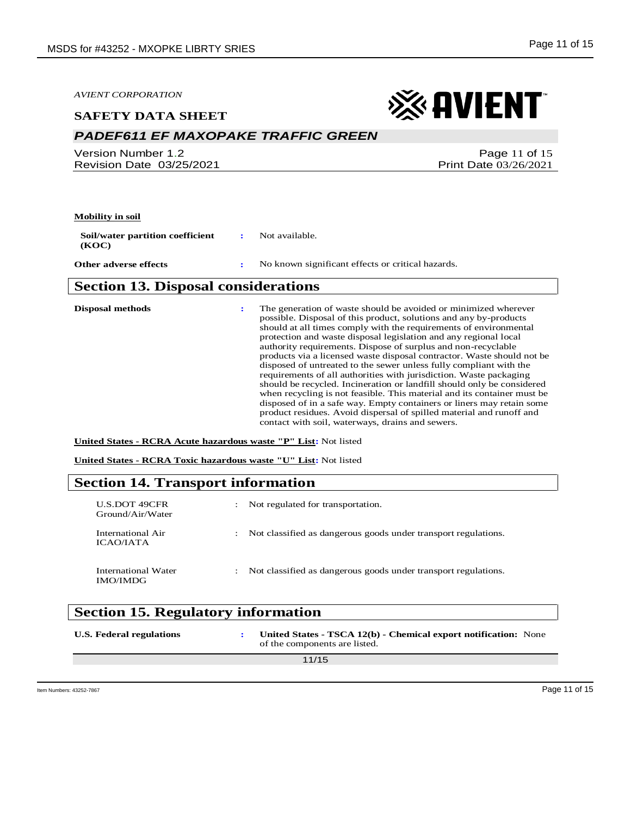#### **SAFETY DATA SHEET**

## *PADEF611 EF MAXOPAKE TRAFFIC GREEN*

Version Number 1.2 Revision Date 03/25/2021

## ※ AVIENT

Page 11 of 15 Print Date 03/26/2021

#### **Mobility in soil**

**Soil/water partition coefficient (KOC) :** Not available.

**Other adverse effects :** No known significant effects or critical hazards.

### **Section 13. Disposal considerations**

**Disposal methods :** The generation of waste should be avoided or minimized wherever possible. Disposal of this product, solutions and any by-products should at all times comply with the requirements of environmental protection and waste disposal legislation and any regional local authority requirements. Dispose of surplus and non-recyclable products via a licensed waste disposal contractor. Waste should not be disposed of untreated to the sewer unless fully compliant with the requirements of all authorities with jurisdiction. Waste packaging should be recycled. Incineration or landfill should only be considered when recycling is not feasible. This material and its container must be disposed of in a safe way. Empty containers or liners may retain some product residues. Avoid dispersal of spilled material and runoff and contact with soil, waterways, drains and sewers.

**United States - RCRA Acute hazardous waste "P" List:** Not listed

**United States - RCRA Toxic hazardous waste "U" List:** Not listed

### **Section 14. Transport information**

| U.S.DOT 49CFR<br>Ground/Air/Water      | Not regulated for transportation.                              |
|----------------------------------------|----------------------------------------------------------------|
| International Air<br>ICAO/IATA         | Not classified as dangerous goods under transport regulations. |
| International Water<br><b>IMO/IMDG</b> | Not classified as dangerous goods under transport regulations. |

## **Section 15. Regulatory information**

| U.S. Federal regulations | United States - TSCA 12(b) - Chemical export notification: None<br>of the components are listed. |
|--------------------------|--------------------------------------------------------------------------------------------------|
|                          | 11/15                                                                                            |
|                          |                                                                                                  |

Item Numbers: 43252-7867 Page 11 of 15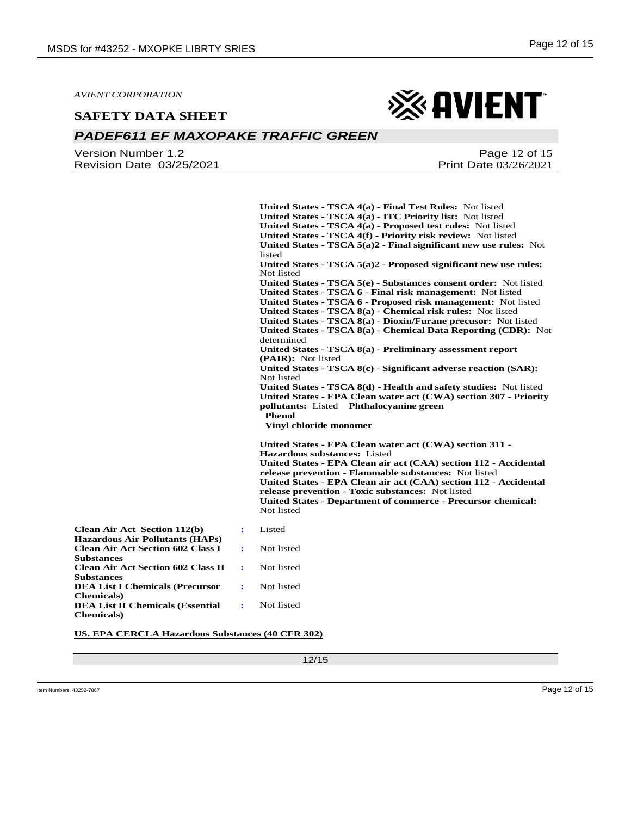#### **SAFETY DATA SHEET**



## *PADEF611 EF MAXOPAKE TRAFFIC GREEN*

Version Number 1.2 Revision Date 03/25/2021

Page 12 of 15 Print Date 03/26/2021

**United States - TSCA 4(a) - Final Test Rules:** Not listed **United States - TSCA 4(a) - ITC Priority list:** Not listed **United States - TSCA 4(a) - Proposed test rules:** Not listed **United States - TSCA 4(f) - Priority risk review:** Not listed **United States - TSCA 5(a)2 - Final significant new use rules:** Not listed **United States - TSCA 5(a)2 - Proposed significant new use rules:**  Not listed **United States - TSCA 5(e) - Substances consent order:** Not listed **United States - TSCA 6 - Final risk management:** Not listed **United States - TSCA 6 - Proposed risk management:** Not listed **United States - TSCA 8(a) - Chemical risk rules:** Not listed **United States - TSCA 8(a) - Dioxin/Furane precusor:** Not listed **United States - TSCA 8(a) - Chemical Data Reporting (CDR):** Not determined **United States - TSCA 8(a) - Preliminary assessment report (PAIR):** Not listed **United States - TSCA 8(c) - Significant adverse reaction (SAR):**  Not listed **United States - TSCA 8(d) - Health and safety studies:** Not listed **United States - EPA Clean water act (CWA) section 307 - Priority pollutants:** Listed **Phthalocyanine green Phenol Vinyl chloride monomer United States - EPA Clean water act (CWA) section 311 - Hazardous substances:** Listed **United States - EPA Clean air act (CAA) section 112 - Accidental release prevention - Flammable substances:** Not listed **United States - EPA Clean air act (CAA) section 112 - Accidental release prevention - Toxic substances:** Not listed **United States - Department of commerce - Precursor chemical:**  Not listed **Clean Air Act Section 112(b) Hazardous Air Pollutants (HAPs) :** Listed **Clean Air Act Section 602 Class I :** Not listed **Clean Air Act Section 602 Class II :** Not listed **DEA List I Chemicals (Precursor :** Not listed **DEA List II Chemicals (Essential :** Not listed

**US. EPA CERCLA Hazardous Substances (40 CFR 302)**

12/15

**Substances**

**Substances**

**Chemicals)**

**Chemicals)**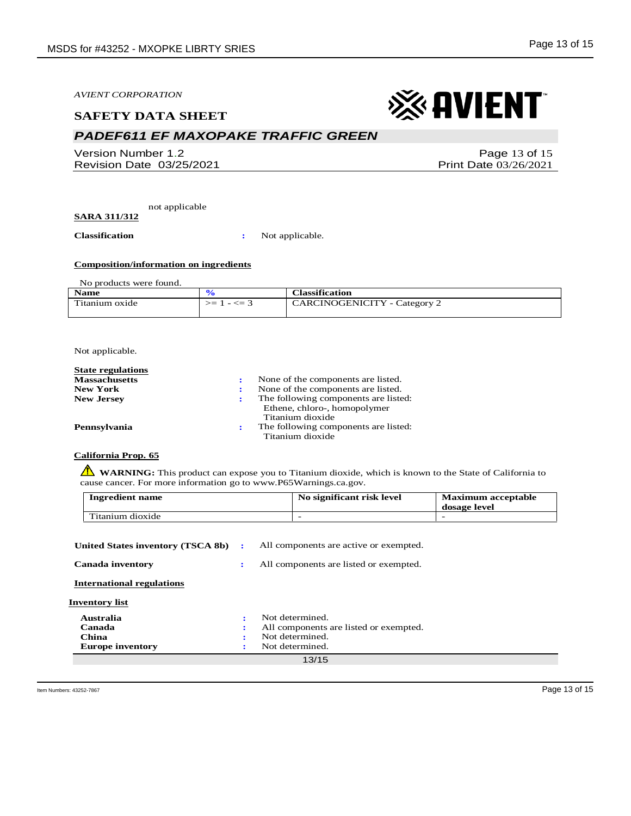#### **SAFETY DATA SHEET**

## *PADEF611 EF MAXOPAKE TRAFFIC GREEN*

Version Number 1.2 Revision Date 03/25/2021

Page 13 of 15 Print Date 03/26/2021

※ AVIENT

not applicable **SARA 311/312**

**Classification :** Not applicable.

#### **Composition/information on ingredients**

No products were found.

| <b>Name</b>    |                  | <b>Classification</b>        |
|----------------|------------------|------------------------------|
| Titanium oxide | $-<=$ 3<br>$>=1$ | CARCINOGENICITY - Category 2 |
|                |                  |                              |

Not applicable.

| <b>State regulations</b> |                                                                      |
|--------------------------|----------------------------------------------------------------------|
| <b>Massachusetts</b>     | None of the components are listed.                                   |
| <b>New York</b>          | None of the components are listed.                                   |
| <b>New Jersey</b>        | The following components are listed:<br>Ethene, chloro-, homopolymer |
|                          | Titanium dioxide                                                     |
| Pennsylvania             | The following components are listed:                                 |
|                          | Titanium dioxide                                                     |

**California Prop. 65**

**WARNING**: This product can expose you to Titanium dioxide, which is known to the State of California to cause cancer. For more information go to www.P65Warnings.ca.gov.

| <b>Ingredient name</b> | No significant risk level | <b>Maximum acceptable</b><br>dosage level |
|------------------------|---------------------------|-------------------------------------------|
| Titanium dioxide       |                           |                                           |

| United States inventory (TSCA 8b) | $\mathbf{r}$ | All components are active or exempted. |
|-----------------------------------|--------------|----------------------------------------|
| <b>Canada inventory</b>           | ÷            | All components are listed or exempted. |
| <b>International regulations</b>  |              |                                        |
| <b>Inventory list</b>             |              |                                        |
| Australia                         |              | Not determined.                        |
| Canada                            |              | All components are listed or exempted. |
| China                             |              | Not determined.                        |
| <b>Europe inventory</b>           |              | Not determined.                        |
|                                   |              | 13/15                                  |
|                                   |              |                                        |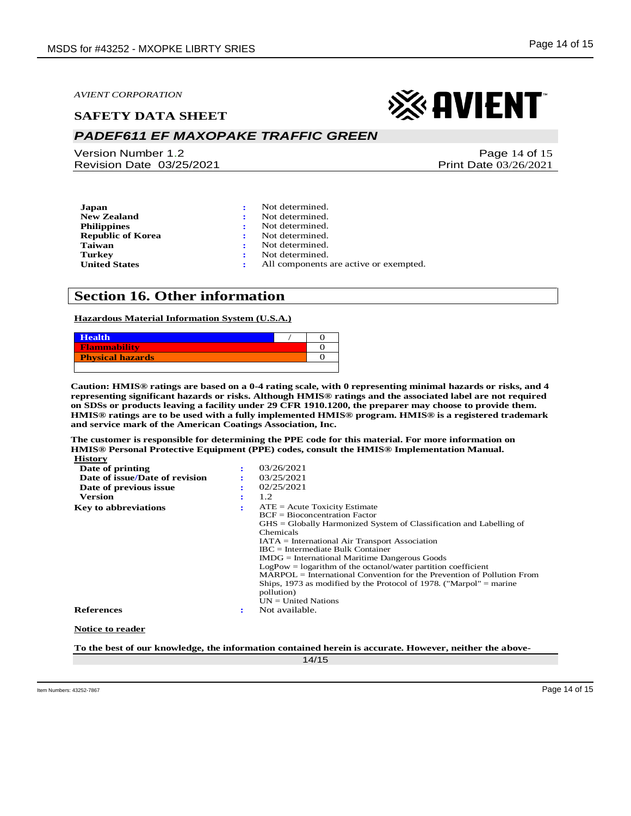#### **SAFETY DATA SHEET**

## *PADEF611 EF MAXOPAKE TRAFFIC GREEN*

Version Number 1.2 Revision Date 03/25/2021

Page 14 of 15 Print Date 03/26/2021

※ AVIENT

| Japan                    | Not determined.                        |
|--------------------------|----------------------------------------|
| <b>New Zealand</b>       | Not determined.                        |
| <b>Philippines</b>       | Not determined.                        |
| <b>Republic of Korea</b> | Not determined.                        |
| Taiwan                   | Not determined.                        |
| <b>Turkey</b>            | Not determined.                        |
| <b>United States</b>     | All components are active or exempted. |

## **Section 16. Other information**

#### **Hazardous Material Information System (U.S.A.)**



**Caution: HMIS® ratings are based on a 0-4 rating scale, with 0 representing minimal hazards or risks, and 4 representing significant hazards or risks. Although HMIS® ratings and the associated label are not required on SDSs or products leaving a facility under 29 CFR 1910.1200, the preparer may choose to provide them. HMIS® ratings are to be used with a fully implemented HMIS® program. HMIS® is a registered trademark and service mark of the American Coatings Association, Inc.**

**The customer is responsible for determining the PPE code for this material. For more information on HMIS® Personal Protective Equipment (PPE) codes, consult the HMIS® Implementation Manual. History**

| Date of printing               |   | 03/26/2021                                                               |
|--------------------------------|---|--------------------------------------------------------------------------|
| Date of issue/Date of revision |   | 03/25/2021                                                               |
| Date of previous issue         | ٠ | 02/25/2021                                                               |
| <b>Version</b>                 | ٠ | 1.2                                                                      |
| <b>Key to abbreviations</b>    |   | $ATE = Acute Toxicity Estimate$                                          |
|                                |   | $BCF = Bioconcentration Factor$                                          |
|                                |   | $GHS = Globally Harmonized System of Classification and Labelling of$    |
|                                |   | Chemicals                                                                |
|                                |   | $IATA = International Air Transport Association$                         |
|                                |   | $\text{IBC}$ = Intermediate Bulk Container                               |
|                                |   | $IMDG = International\,$ Maritime Dangerous Goods                        |
|                                |   | $LogPow = logarithm$ of the octanol/water partition coefficient          |
|                                |   | $MARPOL = International Convention for the Prevention of Pollution From$ |
|                                |   | Ships, 1973 as modified by the Protocol of 1978. ("Marpol" $=$ marine    |
|                                |   | pollution)                                                               |
|                                |   | $UN = United Nations$                                                    |
| <b>References</b>              | ÷ | Not available.                                                           |
| <b>Notice to reader</b>        |   |                                                                          |

**To the best of our knowledge, the information contained herein is accurate. However, neither the above-**

14/15